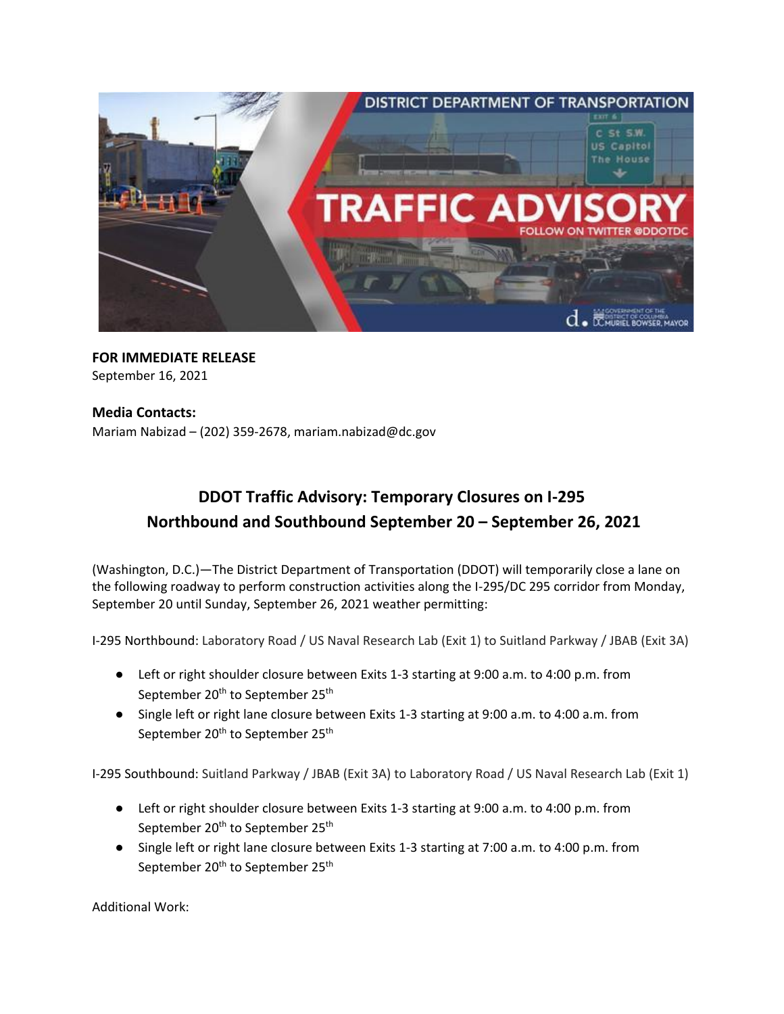

## **FOR IMMEDIATE RELEASE** September 16, 2021

## **Media Contacts:**

Mariam Nabizad – (202) 359-2678, [mariam.nabizad@dc.gov](mailto:mariam.nabizad@dc.gov)

## **DDOT Traffic Advisory: Temporary Closures on I-295 Northbound and Southbound September 20 – September 26, 2021**

(Washington, D.C.)—The District Department of Transportation (DDOT) will temporarily close a lane on the following roadway to perform construction activities along the I-295/DC 295 corridor from Monday, September 20 until Sunday, September 26, 2021 weather permitting:

I-295 Northbound: Laboratory Road / US Naval Research Lab (Exit 1) to Suitland Parkway / JBAB (Exit 3A)

- Left or right shoulder closure between Exits 1-3 starting at 9:00 a.m. to 4:00 p.m. from September 20<sup>th</sup> to September 25<sup>th</sup>
- Single left or right lane closure between Exits 1-3 starting at 9:00 a.m. to 4:00 a.m. from September 20<sup>th</sup> to September 25<sup>th</sup>

I-295 Southbound: Suitland Parkway / JBAB (Exit 3A) to Laboratory Road / US Naval Research Lab (Exit 1)

- Left or right shoulder closure between Exits 1-3 starting at 9:00 a.m. to 4:00 p.m. from September 20<sup>th</sup> to September 25<sup>th</sup>
- Single left or right lane closure between Exits 1-3 starting at 7:00 a.m. to 4:00 p.m. from September 20<sup>th</sup> to September 25<sup>th</sup>

Additional Work: